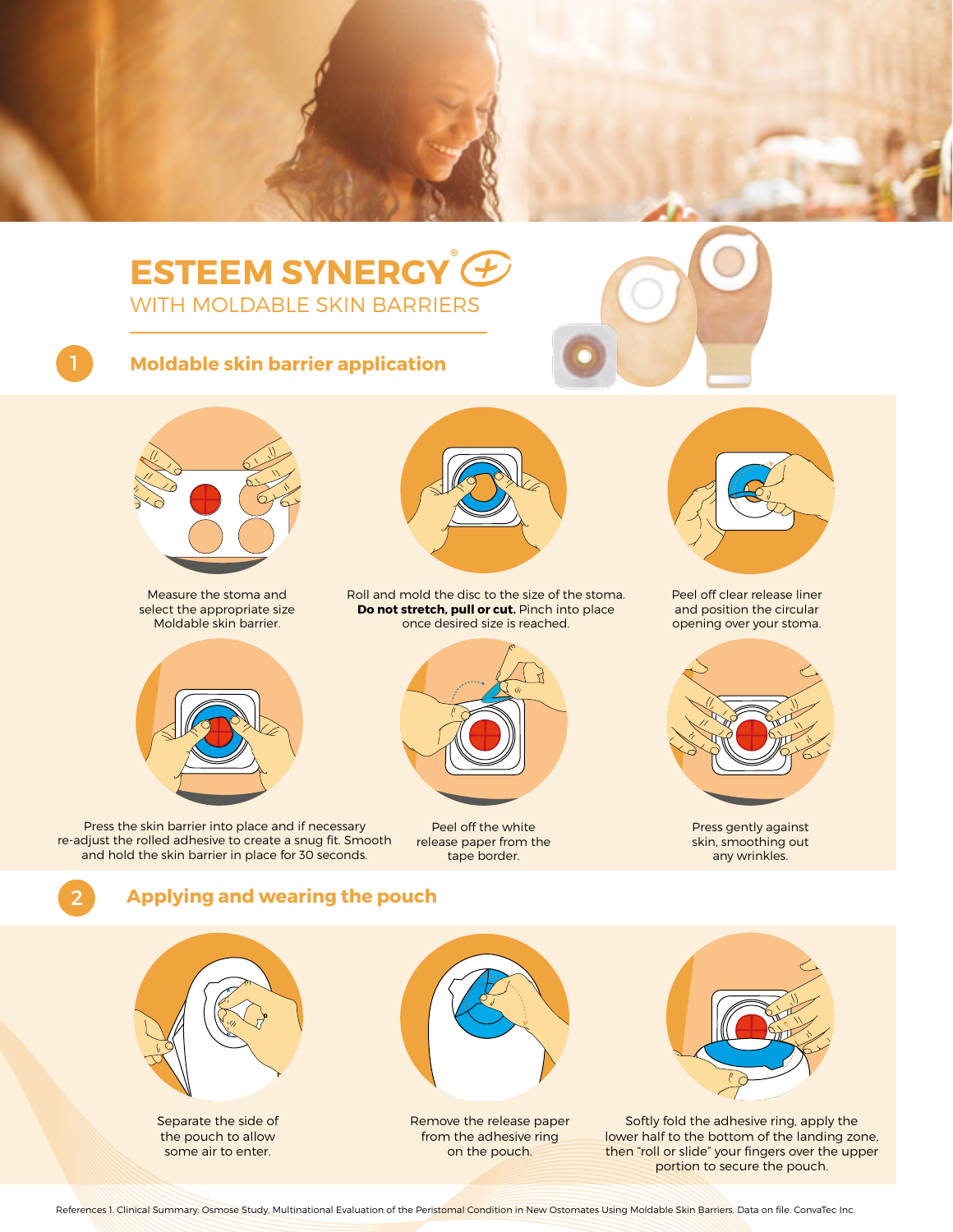

## 1 **Moldable skin barrier application**



Measure the stoma and select the appropriate size Moldable skin barrier.



Press the skin barrier into place and if necessary re-adjust the rolled adhesive to create a snug fit. Smooth and hold the skin barrier in place for 30 seconds.



Roll and mold the disc to the size of the stoma. **Do not stretch, pull or cut.** Pinch into place once desired size is reached.



Peel off the white release paper from the tape border.



Peel off clear release liner and position the circular opening over your stoma.



Press gently against skin, smoothing out any wrinkles.

## **Applying and wearing the pouch**



2

Separate the side of the pouch to allow some air to enter.



Remove the release paper from the adhesive ring on the pouch.



Softly fold the adhesive ring, apply the lower half to the bottom of the landing zone, then "roll or slide" your fingers over the upper portion to secure the pouch.

References 1. Clinical Summary: Osmose Study, Multinational Evaluation of the Peristomal Condition in New Ostomates Using Moldable Skin Barriers. Data on file. ConvaTec Inc.